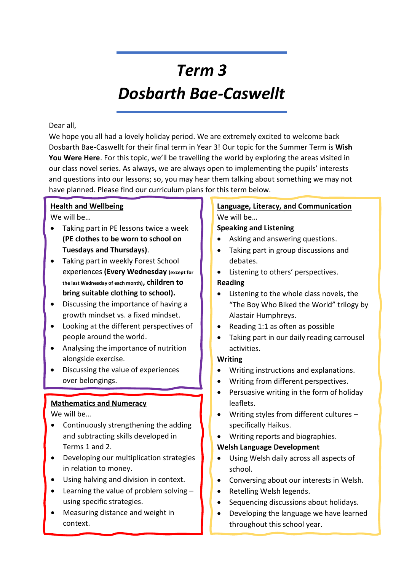# *Term 3 Dosbarth Bae-Caswellt*

# Dear all,

We hope you all had a lovely holiday period. We are extremely excited to welcome back Dosbarth Bae-Caswellt for their final term in Year 3! Our topic for the Summer Term is **Wish You Were Here**. For this topic, we'll be travelling the world by exploring the areas visited in our class novel series. As always, we are always open to implementing the pupils' interests and questions into our lessons; so, you may hear them talking about something we may not have planned. Please find our curriculum plans for this term below.

#### **Health and Wellbeing**

We will be…

- Taking part in PE lessons twice a week **(PE clothes to be worn to school on Tuesdays and Thursdays)**.
- Taking part in weekly Forest School experiences **(Every Wednesday (except for the last Wednesday of each month), children to bring suitable clothing to school).**
- Discussing the importance of having a growth mindset vs. a fixed mindset.
- Looking at the different perspectives of people around the world.
- Analysing the importance of nutrition alongside exercise.
- Discussing the value of experiences over belongings.

# **Mathematics and Numeracy**

We will be…

- Continuously strengthening the adding and subtracting skills developed in Terms 1 and 2.
- Developing our multiplication strategies in relation to money.
- Using halving and division in context.
- Learning the value of problem solving using specific strategies.
- Measuring distance and weight in context.

#### **Language, Literacy, and Communication** We will be…

#### **Speaking and Listening**

- Asking and answering questions.
- Taking part in group discussions and debates.
- Listening to others' perspectives.

### **Reading**

- Listening to the whole class novels, the "The Boy Who Biked the World" trilogy by Alastair Humphreys.
- Reading 1:1 as often as possible
- Taking part in our daily reading carrousel activities.

#### **Writing**

- Writing instructions and explanations.
- Writing from different perspectives.
- Persuasive writing in the form of holiday leaflets.
- Writing styles from different cultures specifically Haikus.
- Writing reports and biographies.

#### **Welsh Language Development**

- Using Welsh daily across all aspects of school.
- Conversing about our interests in Welsh.
- Retelling Welsh legends.
- Sequencing discussions about holidays.
- Developing the language we have learned throughout this school year.